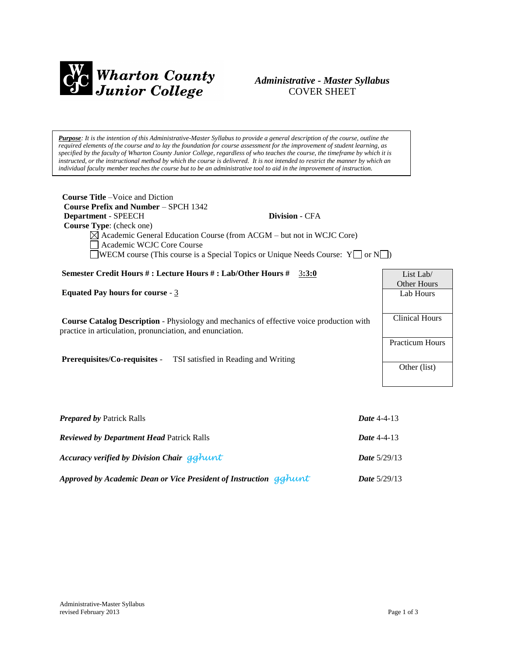

# *Administrative - Master Syllabus*  COVER SHEET

*Purpose: It is the intention of this Administrative-Master Syllabus to provide a general description of the course, outline the required elements of the course and to lay the foundation for course assessment for the improvement of student learning, as specified by the faculty of Wharton County Junior College, regardless of who teaches the course, the timeframe by which it is instructed, or the instructional method by which the course is delivered. It is not intended to restrict the manner by which an individual faculty member teaches the course but to be an administrative tool to aid in the improvement of instruction.*

| <b>Course Title</b> – Voice and Diction<br>Course Prefix and Number - SPCH 1342                                                                                                                                     |                             |  |
|---------------------------------------------------------------------------------------------------------------------------------------------------------------------------------------------------------------------|-----------------------------|--|
| <b>Department - SPEECH</b><br><b>Division - CFA</b>                                                                                                                                                                 |                             |  |
| Course Type: (check one)                                                                                                                                                                                            |                             |  |
| $\boxtimes$ Academic General Education Course (from ACGM – but not in WCJC Core)<br>Academic WCJC Core Course<br><b>WECM</b> course (This course is a Special Topics or Unique Needs Course: $Y \Box$ or $N \Box$ ) |                             |  |
|                                                                                                                                                                                                                     |                             |  |
| Semester Credit Hours #: Lecture Hours #: Lab/Other Hours # 3:3:0                                                                                                                                                   | List Lab/                   |  |
|                                                                                                                                                                                                                     | Other Hours                 |  |
| Equated Pay hours for course - $3$                                                                                                                                                                                  | Lab Hours                   |  |
|                                                                                                                                                                                                                     |                             |  |
| <b>Course Catalog Description</b> - Physiology and mechanics of effective voice production with<br>practice in articulation, pronunciation, and enunciation.                                                        | <b>Clinical Hours</b>       |  |
|                                                                                                                                                                                                                     | <b>Practicum Hours</b>      |  |
|                                                                                                                                                                                                                     |                             |  |
| <b>Prerequisites/Co-requisites -</b> TSI satisfied in Reading and Writing                                                                                                                                           | Other (list)                |  |
|                                                                                                                                                                                                                     |                             |  |
| <b>Prepared by Patrick Ralls</b>                                                                                                                                                                                    | <b>Date 4-4-13</b>          |  |
| <b>Doviewed by Department Head Detrick Dolls</b>                                                                                                                                                                    | Data $\Lambda$ $\Lambda$ 12 |  |

| Approved by Academic Dean or Vice President of Instruction gghunt | <b>Date</b> $5/29/13$ |
|-------------------------------------------------------------------|-----------------------|
| Accuracy verified by Division Chair gghunt                        | <b>Date</b> $5/29/13$ |
| <i>Reviewed by Department Head Patrick Rails</i>                  | <i>Date</i> 4-4-13    |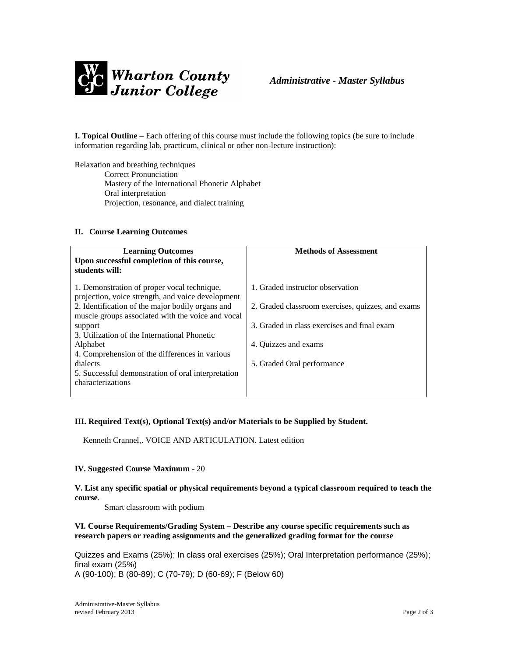

**I. Topical Outline** – Each offering of this course must include the following topics (be sure to include information regarding lab, practicum, clinical or other non-lecture instruction):

Relaxation and breathing techniques Correct Pronunciation Mastery of the International Phonetic Alphabet Oral interpretation Projection, resonance, and dialect training

#### **II. Course Learning Outcomes**

| <b>Learning Outcomes</b><br>Upon successful completion of this course,<br>students will:              | <b>Methods of Assessment</b>                      |
|-------------------------------------------------------------------------------------------------------|---------------------------------------------------|
| 1. Demonstration of proper vocal technique,<br>projection, voice strength, and voice development      | 1. Graded instructor observation                  |
| 2. Identification of the major bodily organs and<br>muscle groups associated with the voice and vocal | 2. Graded classroom exercises, quizzes, and exams |
| support<br>3. Utilization of the International Phonetic                                               | 3. Graded in class exercises and final exam       |
| Alphabet<br>4. Comprehension of the differences in various                                            | 4. Ouizzes and exams                              |
| dialects<br>5. Successful demonstration of oral interpretation<br>characterizations                   | 5. Graded Oral performance                        |
|                                                                                                       |                                                   |

### **III. Required Text(s), Optional Text(s) and/or Materials to be Supplied by Student.**

Kenneth Crannel,. VOICE AND ARTICULATION. Latest edition

#### **IV. Suggested Course Maximum** - 20

**V. List any specific spatial or physical requirements beyond a typical classroom required to teach the course**.

Smart classroom with podium

### **VI. Course Requirements/Grading System – Describe any course specific requirements such as research papers or reading assignments and the generalized grading format for the course**

Quizzes and Exams (25%); In class oral exercises (25%); Oral Interpretation performance (25%); final exam (25%) A (90-100); B (80-89); C (70-79); D (60-69); F (Below 60)